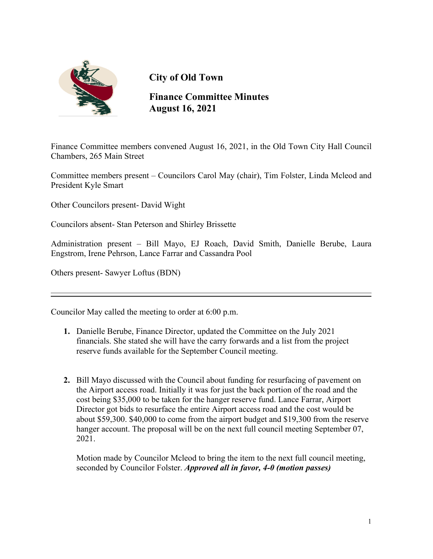

# **City of Old Town**

**Finance Committee Minutes August 16, 2021**

Finance Committee members convened August 16, 2021, in the Old Town City Hall Council Chambers, 265 Main Street

Committee members present – Councilors Carol May (chair), Tim Folster, Linda Mcleod and President Kyle Smart

Other Councilors present- David Wight

Councilors absent- Stan Peterson and Shirley Brissette

Administration present – Bill Mayo, EJ Roach, David Smith, Danielle Berube, Laura Engstrom, Irene Pehrson, Lance Farrar and Cassandra Pool

Others present- Sawyer Loftus (BDN)

Councilor May called the meeting to order at 6:00 p.m.

- **1.** Danielle Berube, Finance Director, updated the Committee on the July 2021 financials. She stated she will have the carry forwards and a list from the project reserve funds available for the September Council meeting.
- **2.** Bill Mayo discussed with the Council about funding for resurfacing of pavement on the Airport access road. Initially it was for just the back portion of the road and the cost being \$35,000 to be taken for the hanger reserve fund. Lance Farrar, Airport Director got bids to resurface the entire Airport access road and the cost would be about \$59,300. \$40,000 to come from the airport budget and \$19,300 from the reserve hanger account. The proposal will be on the next full council meeting September 07, 2021.

Motion made by Councilor Mcleod to bring the item to the next full council meeting, seconded by Councilor Folster. *Approved all in favor, 4-0 (motion passes)*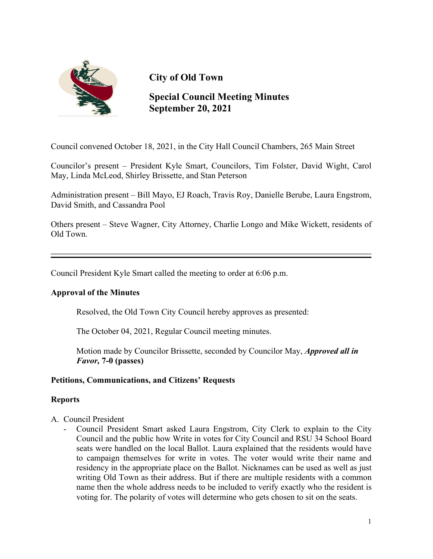

# **City of Old Town**

# **Special Council Meeting Minutes September 20, 2021**

Council convened October 18, 2021, in the City Hall Council Chambers, 265 Main Street

Councilor's present – President Kyle Smart, Councilors, Tim Folster, David Wight, Carol May, Linda McLeod, Shirley Brissette, and Stan Peterson

Administration present – Bill Mayo, EJ Roach, Travis Roy, Danielle Berube, Laura Engstrom, David Smith, and Cassandra Pool

Others present – Steve Wagner, City Attorney, Charlie Longo and Mike Wickett, residents of Old Town.

Council President Kyle Smart called the meeting to order at 6:06 p.m.

# **Approval of the Minutes**

Resolved, the Old Town City Council hereby approves as presented:

The October 04, 2021, Regular Council meeting minutes.

 Motion made by Councilor Brissette, seconded by Councilor May, *Approved all in Favor,* **7-0 (passes)**

#### **Petitions, Communications, and Citizens' Requests**

#### **Reports**

- A. Council President
	- Council President Smart asked Laura Engstrom, City Clerk to explain to the City Council and the public how Write in votes for City Council and RSU 34 School Board seats were handled on the local Ballot. Laura explained that the residents would have to campaign themselves for write in votes. The voter would write their name and residency in the appropriate place on the Ballot. Nicknames can be used as well as just writing Old Town as their address. But if there are multiple residents with a common name then the whole address needs to be included to verify exactly who the resident is voting for. The polarity of votes will determine who gets chosen to sit on the seats.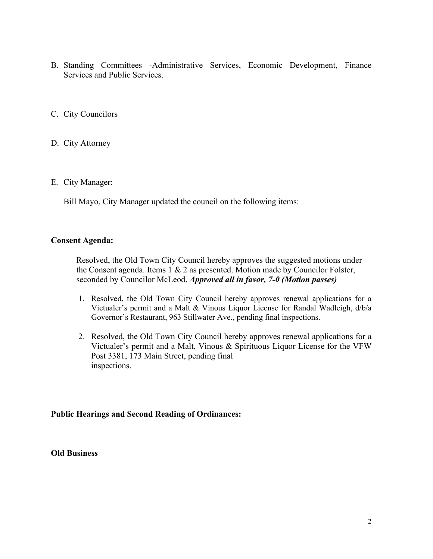- B. Standing Committees -Administrative Services, Economic Development, Finance Services and Public Services.
- C. City Councilors
- D. City Attorney
- E. City Manager:

Bill Mayo, City Manager updated the council on the following items:

## **Consent Agenda:**

Resolved, the Old Town City Council hereby approves the suggested motions under the Consent agenda. Items 1 & 2 as presented. Motion made by Councilor Folster, seconded by Councilor McLeod, *Approved all in favor, 7-0 (Motion passes)* 

- 1. Resolved, the Old Town City Council hereby approves renewal applications for a Victualer's permit and a Malt & Vinous Liquor License for Randal Wadleigh, d/b/a Governor's Restaurant, 963 Stillwater Ave., pending final inspections.
- 2. Resolved, the Old Town City Council hereby approves renewal applications for a Victualer's permit and a Malt, Vinous & Spirituous Liquor License for the VFW Post 3381, 173 Main Street, pending final inspections.

# **Public Hearings and Second Reading of Ordinances:**

**Old Business**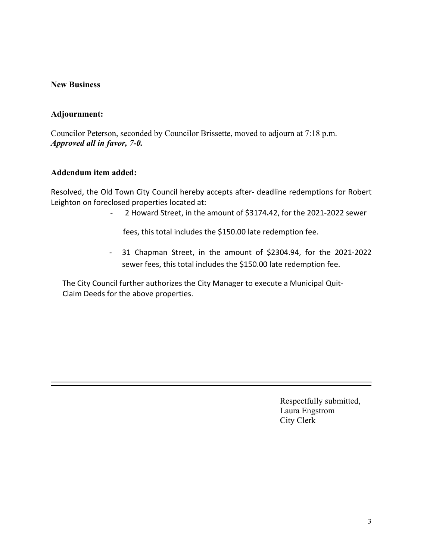#### **New Business**

### **Adjournment:**

Councilor Peterson, seconded by Councilor Brissette, moved to adjourn at 7:18 p.m. *Approved all in favor, 7-0.*

#### **Addendum item added:**

Resolved, the Old Town City Council hereby accepts after- deadline redemptions for Robert Leighton on foreclosed properties located at:

- 2 Howard Street, in the amount of \$3174**.**42, for the 2021-2022 sewer

fees, this total includes the \$150.00 late redemption fee.

- 31 Chapman Street, in the amount of \$2304.94, for the 2021-2022 sewer fees, this total includes the \$150.00 late redemption fee.

 The City Council further authorizes the City Manager to execute a Municipal Quit- Claim Deeds for the above properties.

> Respectfully submitted, Laura Engstrom City Clerk